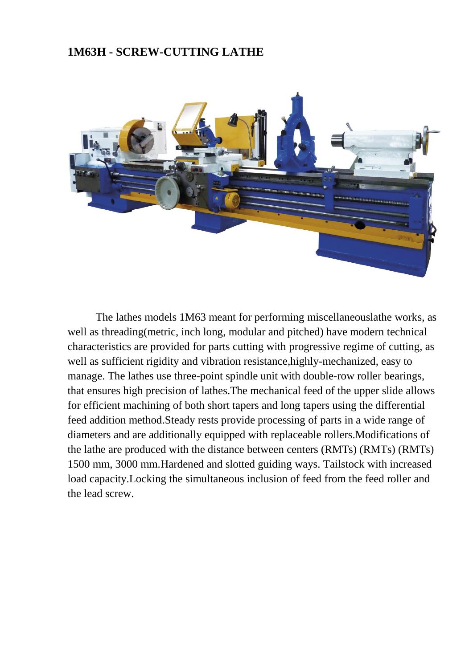#### **1M63H - SCREW-CUTTING LATHE**



The lathes models 1M63 meant for performing miscellaneouslathe works, as well as threading(metric, inch long, modular and pitched) have modern technical characteristics are provided for parts cutting with progressive regime of cutting, as well as sufficient rigidity and vibration resistance,highly-mechanized, easy to manage. The lathes use three-point spindle unit with double-row roller bearings, that ensures high precision of lathes.The mechanical feed of the upper slide allows for efficient machining of both short tapers and long tapers using the differential feed addition method.Steady rests provide processing of parts in a wide range of diameters and are additionally equipped with replaceable rollers.Modifications of the lathe are produced with the distance between centers (RMTs) (RMTs) (RMTs) 1500 mm, 3000 mm.Hardened and slotted guiding ways. Tailstock with increased load capacity.Locking the simultaneous inclusion of feed from the feed roller and the lead screw.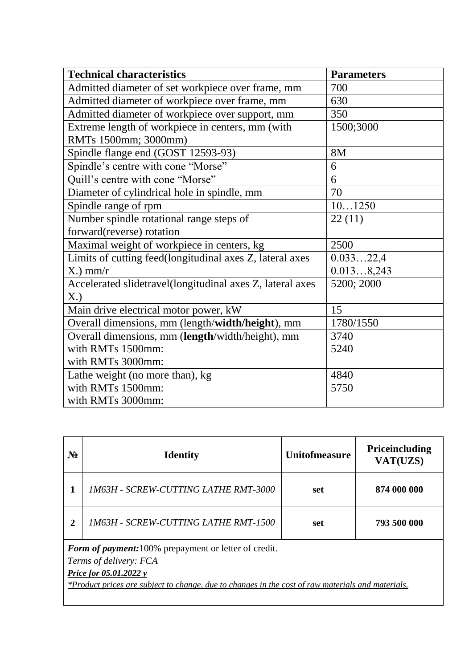| <b>Technical characteristics</b>                          | <b>Parameters</b> |
|-----------------------------------------------------------|-------------------|
| Admitted diameter of set workpiece over frame, mm         | 700               |
| Admitted diameter of workpiece over frame, mm             | 630               |
| Admitted diameter of workpiece over support, mm           | 350               |
| Extreme length of workpiece in centers, mm (with          | 1500;3000         |
| RMTs 1500mm; 3000mm)                                      |                   |
| Spindle flange end (GOST 12593-93)                        | 8M                |
| Spindle's centre with cone "Morse"                        | 6                 |
| Quill's centre with cone "Morse"                          | 6                 |
| Diameter of cylindrical hole in spindle, mm               | 70                |
| Spindle range of rpm                                      | 101250            |
| Number spindle rotational range steps of                  | 22(11)            |
| forward(reverse) rotation                                 |                   |
| Maximal weight of workpiece in centers, kg                | 2500              |
| Limits of cutting feed(longitudinal axes Z, lateral axes  | 0.03322,4         |
| $X$ .) mm/r                                               | 0.0138,243        |
| Accelerated slidetravel(longitudinal axes Z, lateral axes | 5200; 2000        |
| X.)                                                       |                   |
| Main drive electrical motor power, kW                     | 15                |
| Overall dimensions, mm (length/width/height), mm          | 1780/1550         |
| Overall dimensions, mm (length/width/height), mm          | 3740              |
| with RMTs 1500mm:                                         | 5240              |
| with RMTs 3000mm:                                         |                   |
| Lathe weight (no more than), kg                           | 4840              |
| with RMTs 1500mm:                                         | 5750              |
| with RMTs 3000mm:                                         |                   |

| $N_2$                                                                                                                                                                                                                 | <b>Identity</b>                             | <b>Unitofmeasure</b> | Priceincluding<br>VAT(UZS) |
|-----------------------------------------------------------------------------------------------------------------------------------------------------------------------------------------------------------------------|---------------------------------------------|----------------------|----------------------------|
|                                                                                                                                                                                                                       | <b>1M63H - SCREW-CUTTING LATHE RMT-3000</b> | set                  | 874 000 000                |
| $\mathbf{2}$                                                                                                                                                                                                          | <b>1M63H - SCREW-CUTTING LATHE RMT-1500</b> | set                  | 793 500 000                |
| Form of payment: 100% prepayment or letter of credit.<br>Terms of delivery: FCA<br><i>Price for 05.01.2022 y</i><br>*Product prices are subject to change, due to changes in the cost of raw materials and materials. |                                             |                      |                            |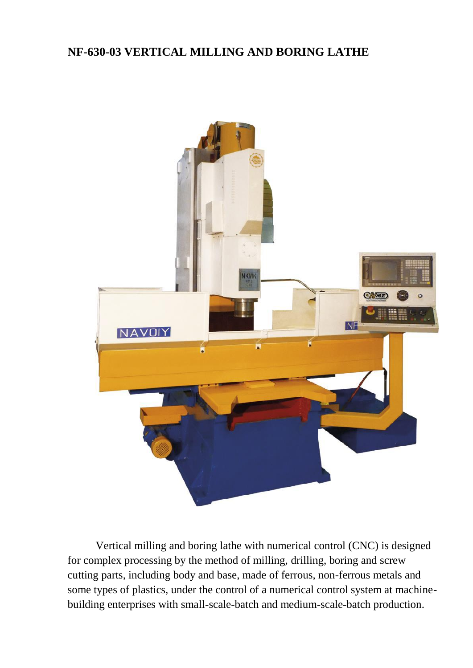# **NF-630-03 VERTICAL MILLING AND BORING LATHE**



Vertical milling and boring lathe with numerical control (CNC) is designed for complex processing by the method of milling, drilling, boring and screw cutting parts, including body and base, made of ferrous, non-ferrous metals and some types of plastics, under the control of a numerical control system at machinebuilding enterprises with small-scale-batch and medium-scale-batch production.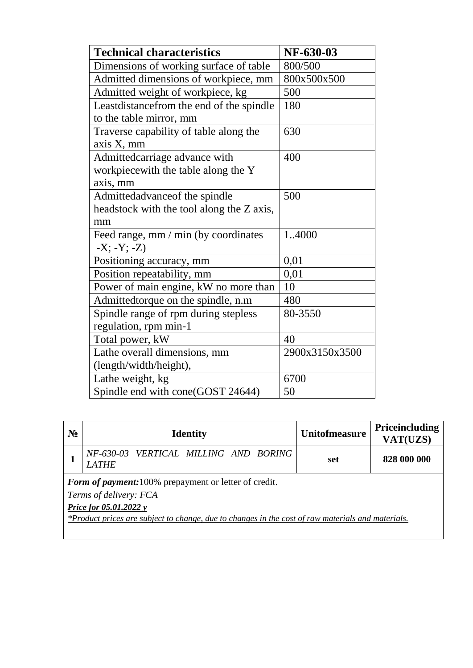| <b>Technical characteristics</b>          | NF-630-03      |
|-------------------------------------------|----------------|
| Dimensions of working surface of table    | 800/500        |
| Admitted dimensions of workpiece, mm      | 800x500x500    |
| Admitted weight of workpiece, kg          | 500            |
| Leastdistance from the end of the spindle | 180            |
| to the table mirror, mm                   |                |
| Traverse capability of table along the    | 630            |
| axis X, mm                                |                |
| Admittedcarriage advance with             | 400            |
| workpiecewith the table along the Y       |                |
| axis, mm                                  |                |
| Admittedadvance of the spindle            | 500            |
| headstock with the tool along the Z axis, |                |
| mm                                        |                |
| Feed range, mm / min (by coordinates      | 1.4000         |
| $-X; -Y; -Z)$                             |                |
| Positioning accuracy, mm                  | 0,01           |
| Position repeatability, mm                | 0,01           |
| Power of main engine, kW no more than     | 10             |
| Admittedtorque on the spindle, n.m        | 480            |
| Spindle range of rpm during stepless      | 80-3550        |
| regulation, rpm min-1                     |                |
| Total power, kW                           | 40             |
| Lathe overall dimensions, mm              | 2900x3150x3500 |
| (length/width/height),                    |                |
| Lathe weight, kg                          | 6700           |
| Spindle end with cone(GOST 24644)         | 50             |

| $N_2$                                                                                                                                                                                                                        | <b>Identity</b>                                       | <b>Unitofmeasure</b> | <b>Priceincluding</b><br>VAT(UZS) |  |
|------------------------------------------------------------------------------------------------------------------------------------------------------------------------------------------------------------------------------|-------------------------------------------------------|----------------------|-----------------------------------|--|
|                                                                                                                                                                                                                              | NF-630-03 VERTICAL MILLING AND BORING<br><b>LATHE</b> | set                  | 828 000 000                       |  |
| <b>Form of payment:</b> 100% prepayment or letter of credit.<br>Terms of delivery: FCA<br><b>Price for 05.01.2022 y</b><br>*Product prices are subject to change, due to changes in the cost of raw materials and materials. |                                                       |                      |                                   |  |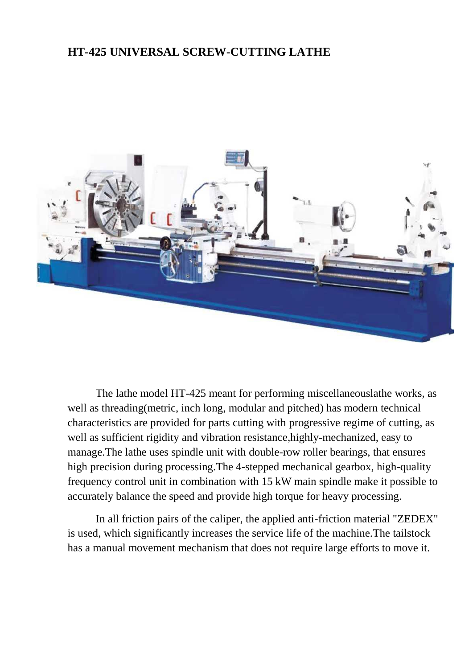#### **HT-425 UNIVERSAL SCREW-CUTTING LATHE**



The lathe model HT-425 meant for performing miscellaneouslathe works, as well as threading(metric, inch long, modular and pitched) has modern technical characteristics are provided for parts cutting with progressive regime of cutting, as well as sufficient rigidity and vibration resistance,highly-mechanized, easy to manage.The lathe uses spindle unit with double-row roller bearings, that ensures high precision during processing.The 4-stepped mechanical gearbox, high-quality frequency control unit in combination with 15 kW main spindle make it possible to accurately balance the speed and provide high torque for heavy processing.

In all friction pairs of the caliper, the applied anti-friction material "ZEDEX" is used, which significantly increases the service life of the machine.The tailstock has a manual movement mechanism that does not require large efforts to move it.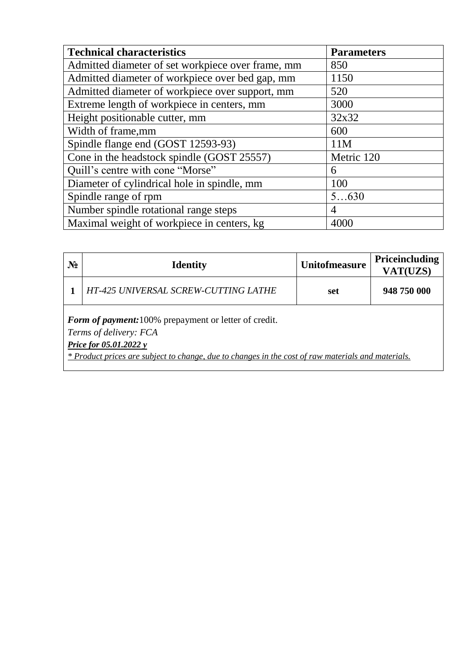| <b>Technical characteristics</b>                  | <b>Parameters</b> |
|---------------------------------------------------|-------------------|
| Admitted diameter of set workpiece over frame, mm | 850               |
| Admitted diameter of workpiece over bed gap, mm   | 1150              |
| Admitted diameter of workpiece over support, mm   | 520               |
| Extreme length of workpiece in centers, mm        | 3000              |
| Height positionable cutter, mm                    | 32x32             |
| Width of frame, mm                                | 600               |
| Spindle flange end (GOST 12593-93)                | 11M               |
| Cone in the headstock spindle (GOST 25557)        | Metric 120        |
| Quill's centre with cone "Morse"                  | 6                 |
| Diameter of cylindrical hole in spindle, mm       | 100               |
| Spindle range of rpm                              | 5630              |
| Number spindle rotational range steps             | 4                 |
| Maximal weight of workpiece in centers, kg        | 4000              |

| $N_2$ | <b>Identity</b>                                                                                                                                                                                                               | <b>Unitofmeasure</b> | Priceincluding<br>VAT(UZS) |
|-------|-------------------------------------------------------------------------------------------------------------------------------------------------------------------------------------------------------------------------------|----------------------|----------------------------|
|       | HT-425 UNIVERSAL SCREW-CUTTING LATHE                                                                                                                                                                                          | set                  | 948 750 000                |
|       | <b>Form of payment:</b> 100% prepayment or letter of credit.<br>Terms of delivery: FCA<br><i>Price for 05.01.2022 y</i><br>* Product prices are subject to change, due to changes in the cost of raw materials and materials. |                      |                            |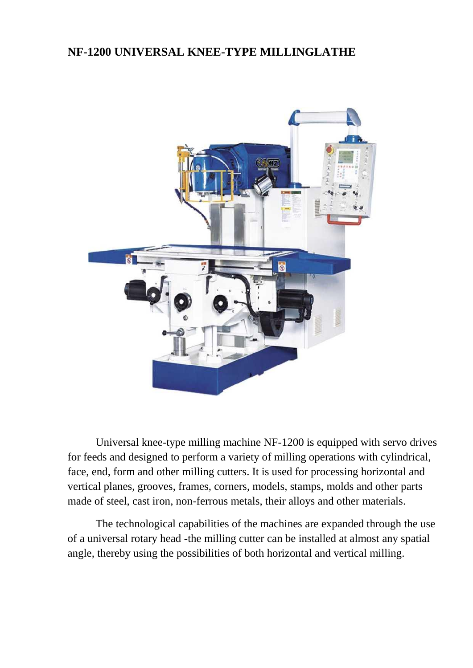# **NF-1200 UNIVERSAL KNEE-TYPE MILLINGLATHE**



Universal knee-type milling machine NF-1200 is equipped with servo drives for feeds and designed to perform a variety of milling operations with cylindrical, face, end, form and other milling cutters. It is used for processing horizontal and vertical planes, grooves, frames, corners, models, stamps, molds and other parts made of steel, cast iron, non-ferrous metals, their alloys and other materials.

The technological capabilities of the machines are expanded through the use of a universal rotary head -the milling cutter can be installed at almost any spatial angle, thereby using the possibilities of both horizontal and vertical milling.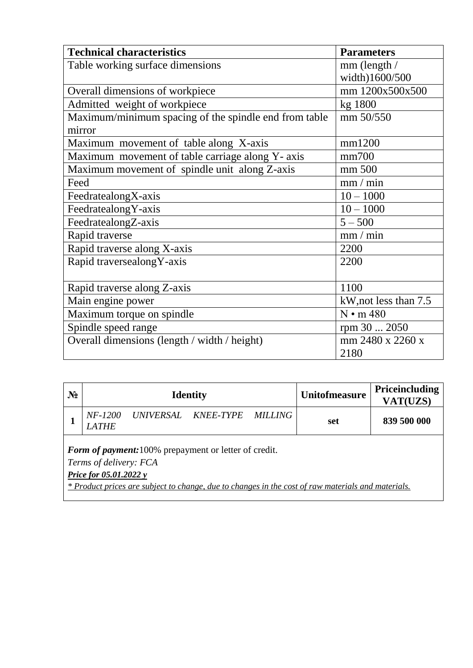| <b>Technical characteristics</b>                      | <b>Parameters</b>     |
|-------------------------------------------------------|-----------------------|
| Table working surface dimensions                      | mm (length /          |
|                                                       | width)1600/500        |
| Overall dimensions of workpiece                       | mm 1200x500x500       |
| Admitted weight of workpiece                          | kg 1800               |
| Maximum/minimum spacing of the spindle end from table | mm 50/550             |
| mirror                                                |                       |
| Maximum movement of table along X-axis                | mm1200                |
| Maximum movement of table carriage along Y- axis      | mm700                 |
| Maximum movement of spindle unit along Z-axis         | mm 500                |
| Feed                                                  | mm/min                |
| FeedratealongX-axis                                   | $10 - 1000$           |
| FeedratealongY-axis                                   | $10 - 1000$           |
| FeedratealongZ-axis                                   | $5 - 500$             |
| Rapid traverse                                        | mm/min                |
| Rapid traverse along X-axis                           | 2200                  |
| Rapid traversealong Y-axis                            | 2200                  |
|                                                       |                       |
| Rapid traverse along Z-axis                           | 1100                  |
| Main engine power                                     | kW, not less than 7.5 |
| Maximum torque on spindle                             | $N \cdot m 480$       |
| Spindle speed range                                   | rpm 30  2050          |
| Overall dimensions (length / width / height)          | mm 2480 x 2260 x      |
|                                                       | 2180                  |

| $N_2$                                                                                                                   |                                |                     | <b>Identity</b> |                | <b>Unitofmeasure</b> | <b>Priceincluding</b><br>VAT(UZS) |
|-------------------------------------------------------------------------------------------------------------------------|--------------------------------|---------------------|-----------------|----------------|----------------------|-----------------------------------|
|                                                                                                                         | <i>NF-1200</i><br><b>LATHE</b> | UNIVERSAL KNEE-TYPE |                 | <i>MILLING</i> | set                  | 839 500 000                       |
| <b>Form of payment:</b> 100% prepayment or letter of credit.<br>Terms of delivery: FCA<br><b>Price for 05.01.2022 y</b> |                                |                     |                 |                |                      |                                   |

*\* Product prices are subject to change, due to changes in the cost of raw materials and materials.*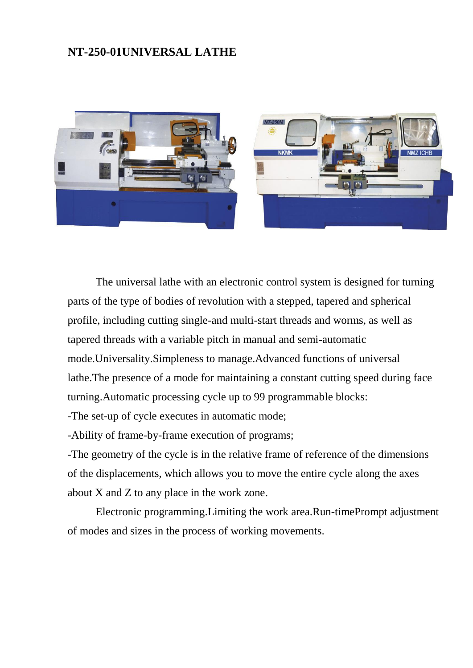#### **NT-250-01UNIVERSAL LATHE**



The universal lathe with an electronic control system is designed for turning parts of the type of bodies of revolution with a stepped, tapered and spherical profile, including cutting single-and multi-start threads and worms, as well as tapered threads with a variable pitch in manual and semi-automatic mode.Universality.Simpleness to manage.Advanced functions of universal lathe.The presence of a mode for maintaining a constant cutting speed during face turning.Automatic processing cycle up to 99 programmable blocks:

-The set-up of cycle executes in automatic mode;

-Ability of frame-by-frame execution of programs;

-The geometry of the cycle is in the relative frame of reference of the dimensions of the displacements, which allows you to move the entire cycle along the axes about X and Z to any place in the work zone.

Electronic programming.Limiting the work area.Run-timePrompt adjustment of modes and sizes in the process of working movements.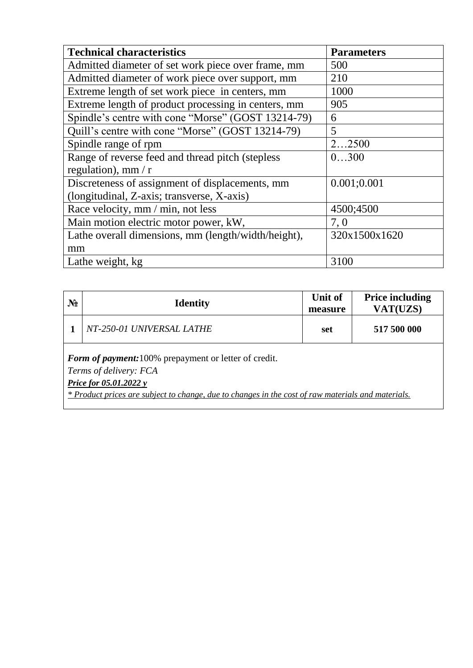| <b>Technical characteristics</b>                    | <b>Parameters</b> |  |
|-----------------------------------------------------|-------------------|--|
| Admitted diameter of set work piece over frame, mm  | 500               |  |
| Admitted diameter of work piece over support, mm    | 210               |  |
| Extreme length of set work piece in centers, mm     | 1000              |  |
| Extreme length of product processing in centers, mm | 905               |  |
| Spindle's centre with cone "Morse" (GOST 13214-79)  | 6                 |  |
| Quill's centre with cone "Morse" (GOST 13214-79)    | 5                 |  |
| Spindle range of rpm                                | 22500             |  |
| Range of reverse feed and thread pitch (stepless    | 0300              |  |
| regulation), mm $\pi$                               |                   |  |
| Discreteness of assignment of displacements, mm     | 0.001;0.001       |  |
| (longitudinal, Z-axis; transverse, X-axis)          |                   |  |
| Race velocity, mm / min, not less                   | 4500;4500         |  |
| Main motion electric motor power, kW,               | 7,0               |  |
| Lathe overall dimensions, mm (length/width/height), | 320x1500x1620     |  |
| mm                                                  |                   |  |
| Lathe weight, kg                                    | 3100              |  |

| $N_2$                                                                                                                   | <b>Identity</b>           | Unit of<br>measure | <b>Price including</b><br>VAT(UZS) |  |
|-------------------------------------------------------------------------------------------------------------------------|---------------------------|--------------------|------------------------------------|--|
|                                                                                                                         | NT-250-01 UNIVERSAL LATHE | set                | 517 500 000                        |  |
| <b>Form of payment:</b> 100% prepayment or letter of credit.<br>Terms of delivery: FCA<br><b>Price for 05.01.2022 y</b> |                           |                    |                                    |  |

*\* Product prices are subject to change, due to changes in the cost of raw materials and materials.*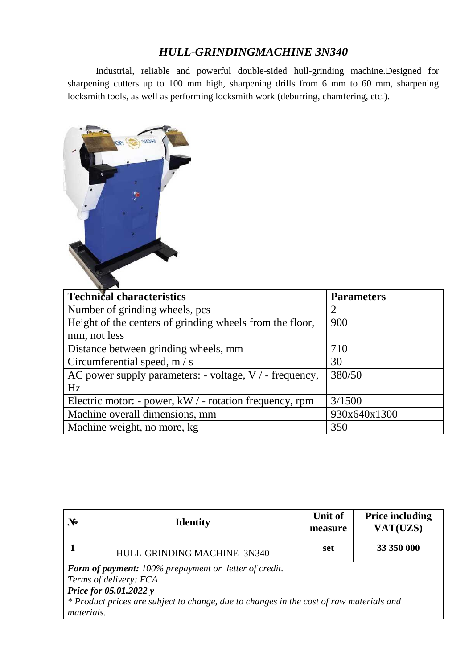# *HULL-GRINDINGMACHINE 3N340*

Industrial, reliable and powerful double-sided hull-grinding machine.Designed for sharpening cutters up to 100 mm high, sharpening drills from 6 mm to 60 mm, sharpening locksmith tools, as well as performing locksmith work (deburring, chamfering, etc.).



| <b>Technical characteristics</b>                          | <b>Parameters</b> |
|-----------------------------------------------------------|-------------------|
| Number of grinding wheels, pcs                            | 2                 |
| Height of the centers of grinding wheels from the floor,  | 900               |
| mm, not less                                              |                   |
| Distance between grinding wheels, mm                      | 710               |
| Circumferential speed, m / s                              | 30                |
| AC power supply parameters: - voltage, $V / -$ frequency, | 380/50            |
| Hz                                                        |                   |
| Electric motor: - power, $kW / -$ rotation frequency, rpm | 3/1500            |
| Machine overall dimensions, mm                            | 930x640x1300      |
| Machine weight, no more, kg                               | 350               |

| $N_2$                                                                                                        | <b>Identity</b>             | <b>Unit of</b><br>measure | <b>Price including</b><br>VAT(UZS) |  |  |
|--------------------------------------------------------------------------------------------------------------|-----------------------------|---------------------------|------------------------------------|--|--|
|                                                                                                              | HULL-GRINDING MACHINE 3N340 | set                       | 33 350 000                         |  |  |
| <b>Form of payment:</b> 100% prepayment or letter of credit.<br>Terms of delivery: FCA                       |                             |                           |                                    |  |  |
| Price for 05.01.2022 y                                                                                       |                             |                           |                                    |  |  |
| <i>* Product prices are subject to change, due to changes in the cost of raw materials and</i><br>materials. |                             |                           |                                    |  |  |
|                                                                                                              |                             |                           |                                    |  |  |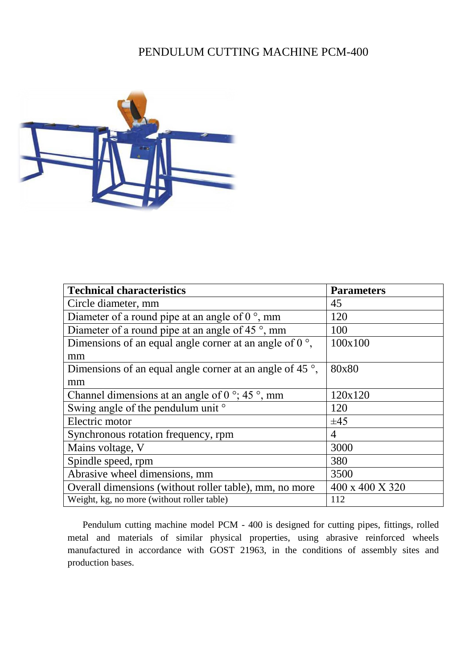### PENDULUM CUTTING MACHINE PCM-400



| <b>Technical characteristics</b>                                  | <b>Parameters</b> |  |
|-------------------------------------------------------------------|-------------------|--|
| Circle diameter, mm                                               | 45                |  |
| Diameter of a round pipe at an angle of $0^{\circ}$ , mm          | 120               |  |
| Diameter of a round pipe at an angle of 45 °, mm                  | 100               |  |
| Dimensions of an equal angle corner at an angle of $0^{\circ}$ .  | 100x100           |  |
| mm                                                                |                   |  |
| Dimensions of an equal angle corner at an angle of 45 $\degree$ , | 80x80             |  |
| mm                                                                |                   |  |
| Channel dimensions at an angle of 0 $\degree$ ; 45 $\degree$ , mm | 120x120           |  |
| Swing angle of the pendulum unit °                                | 120               |  |
| Electric motor                                                    | $\pm 45$          |  |
| Synchronous rotation frequency, rpm                               | 4                 |  |
| Mains voltage, V                                                  | 3000              |  |
| Spindle speed, rpm                                                | 380               |  |
| Abrasive wheel dimensions, mm                                     | 3500              |  |
| Overall dimensions (without roller table), mm, no more            | 400 x 400 X 320   |  |
| Weight, kg, no more (without roller table)                        | 112               |  |

Pendulum cutting machine model PCM - 400 is designed for cutting pipes, fittings, rolled metal and materials of similar physical properties, using abrasive reinforced wheels manufactured in accordance with GOST 21963, in the conditions of assembly sites and production bases.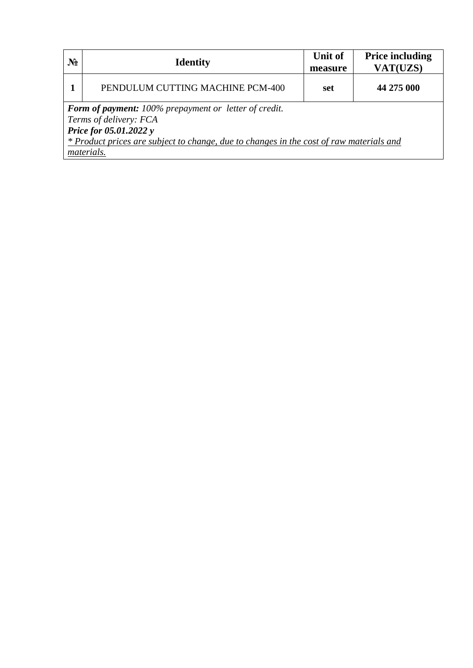| $N_2$                                                                                                                                                                                                              | <b>Identity</b>                  | <b>Unit of</b><br>measure | <b>Price including</b><br>VAT(UZS) |  |  |
|--------------------------------------------------------------------------------------------------------------------------------------------------------------------------------------------------------------------|----------------------------------|---------------------------|------------------------------------|--|--|
|                                                                                                                                                                                                                    | PENDULUM CUTTING MACHINE PCM-400 | set                       | 44 275 000                         |  |  |
| Form of payment: 100% prepayment or letter of credit.<br>Terms of delivery: FCA<br>Price for 05.01.2022 y<br>* Product prices are subject to change, due to changes in the cost of raw materials and<br>materials. |                                  |                           |                                    |  |  |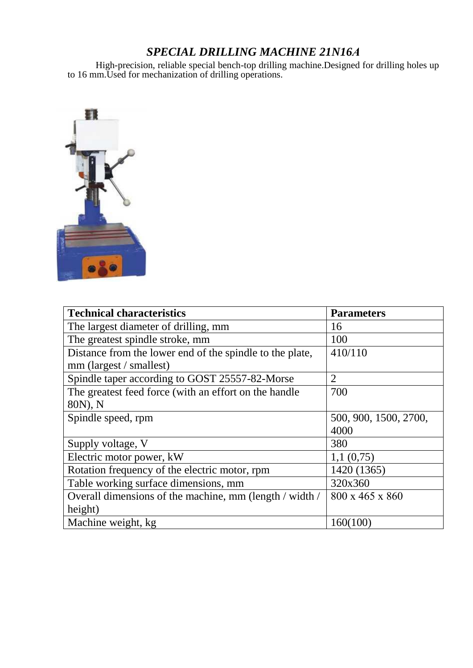# *SPECIAL DRILLING MACHINE 21N16А*

High-precision, reliable special bench-top drilling machine.Designed for drilling holes up to 16 mm.Used for mechanization of drilling operations.



| <b>Technical characteristics</b>                         | <b>Parameters</b>     |  |
|----------------------------------------------------------|-----------------------|--|
| The largest diameter of drilling, mm                     | 16                    |  |
| The greatest spindle stroke, mm                          | 100                   |  |
| Distance from the lower end of the spindle to the plate, | 410/110               |  |
| mm (largest / smallest)                                  |                       |  |
| Spindle taper according to GOST 25557-82-Morse           | 2                     |  |
| The greatest feed force (with an effort on the handle    | 700                   |  |
| 80N), N                                                  |                       |  |
| Spindle speed, rpm                                       | 500, 900, 1500, 2700, |  |
|                                                          | 4000                  |  |
| Supply voltage, V                                        | 380                   |  |
| Electric motor power, kW                                 | 1,1(0,75)             |  |
| Rotation frequency of the electric motor, rpm            | 1420 (1365)           |  |
| Table working surface dimensions, mm                     | 320x360               |  |
| Overall dimensions of the machine, mm (length / width /  | 800 x 465 x 860       |  |
| height)                                                  |                       |  |
| Machine weight, kg                                       | 160(100)              |  |